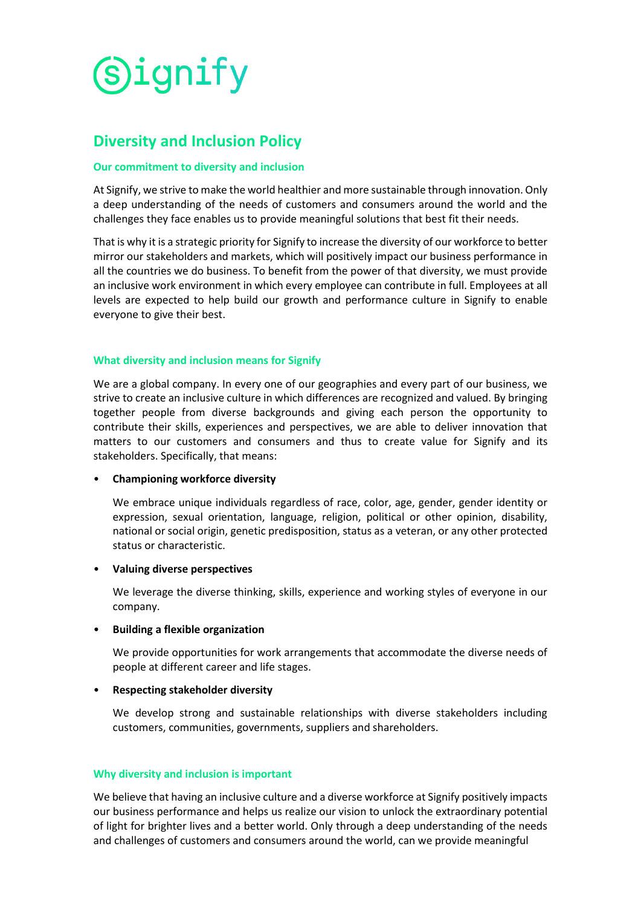

# **Diversity and Inclusion Policy**

#### **Our commitment to diversity and inclusion**

At Signify, we strive to make the world healthier and more sustainable through innovation. Only a deep understanding of the needs of customers and consumers around the world and the challenges they face enables us to provide meaningful solutions that best fit their needs.

That is why it is a strategic priority for Signify to increase the diversity of our workforce to better mirror our stakeholders and markets, which will positively impact our business performance in all the countries we do business. To benefit from the power of that diversity, we must provide an inclusive work environment in which every employee can contribute in full. Employees at all levels are expected to help build our growth and performance culture in Signify to enable everyone to give their best.

#### **What diversity and inclusion means for Signify**

We are a global company. In every one of our geographies and every part of our business, we strive to create an inclusive culture in which differences are recognized and valued. By bringing together people from diverse backgrounds and giving each person the opportunity to contribute their skills, experiences and perspectives, we are able to deliver innovation that matters to our customers and consumers and thus to create value for Signify and its stakeholders. Specifically, that means:

## • **Championing workforce diversity**

We embrace unique individuals regardless of race, color, age, gender, gender identity or expression, sexual orientation, language, religion, political or other opinion, disability, national or social origin, genetic predisposition, status as a veteran, or any other protected status or characteristic.

#### • **Valuing diverse perspectives**

We leverage the diverse thinking, skills, experience and working styles of everyone in our company.

## • **Building a flexible organization**

We provide opportunities for work arrangements that accommodate the diverse needs of people at different career and life stages.

## • **Respecting stakeholder diversity**

We develop strong and sustainable relationships with diverse stakeholders including customers, communities, governments, suppliers and shareholders.

#### **Why diversity and inclusion is important**

We believe that having an inclusive culture and a diverse workforce at Signify positively impacts our business performance and helps us realize our vision to unlock the extraordinary potential of light for brighter lives and a better world. Only through a deep understanding of the needs and challenges of customers and consumers around the world, can we provide meaningful